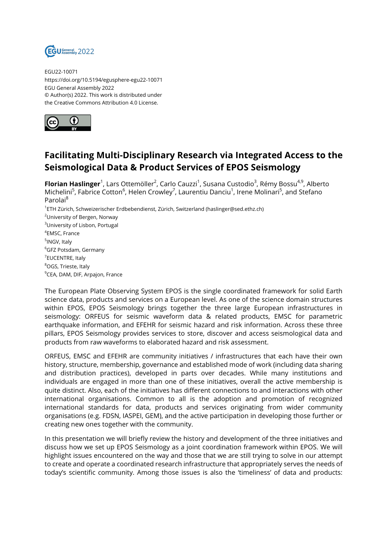

EGU22-10071 https://doi.org/10.5194/egusphere-egu22-10071 EGU General Assembly 2022 © Author(s) 2022. This work is distributed under the Creative Commons Attribution 4.0 License.



## **Facilitating Multi-Disciplinary Research via Integrated Access to the Seismological Data & Product Services of EPOS Seismology**

**Florian Haslinger**<sup>1</sup>, Lars Ottemöller<sup>2</sup>, Carlo Cauzzi<sup>1</sup>, Susana Custodio<sup>3</sup>, Rémy Bossu<sup>4,9</sup>, Alberto Michelini<sup>5</sup>, Fabrice Cotton<sup>6</sup>, Helen Crowley<sup>7</sup>, Laurentiu Danciu<sup>1</sup>, Irene Molinari<sup>5</sup>, and Stefano Parolai<sup>8</sup> <sup>1</sup>ETH Zürich, Schweizerischer Erdbebendienst, Zürich, Switzerland (haslinger@sed.ethz.ch) <sup>2</sup>University of Bergen, Norway <sup>3</sup>University of Lisbon, Portugal 4 EMSC, France <sup>5</sup>INGV, Italy

<sup>6</sup>GFZ Potsdam, Germany <sup>7</sup>EUCENTRE, Italy <sup>8</sup>OGS, Trieste, Italy <sup>9</sup>CEA, DAM, DIF, Arpajon, France

The European Plate Observing System EPOS is the single coordinated framework for solid Earth science data, products and services on a European level. As one of the science domain structures within EPOS, EPOS Seismology brings together the three large European infrastructures in seismology: ORFEUS for seismic waveform data & related products, EMSC for parametric earthquake information, and EFEHR for seismic hazard and risk information. Across these three pillars, EPOS Seismology provides services to store, discover and access seismological data and products from raw waveforms to elaborated hazard and risk assessment.

ORFEUS, EMSC and EFEHR are community initiatives / infrastructures that each have their own history, structure, membership, governance and established mode of work (including data sharing and distribution practices), developed in parts over decades. While many institutions and individuals are engaged in more than one of these initiatives, overall the active membership is quite distinct. Also, each of the initiatives has different connections to and interactions with other international organisations. Common to all is the adoption and promotion of recognized international standards for data, products and services originating from wider community organisations (e.g. FDSN, IASPEI, GEM), and the active participation in developing those further or creating new ones together with the community.

In this presentation we will briefly review the history and development of the three initiatives and discuss how we set up EPOS Seismology as a joint coordination framework within EPOS. We will highlight issues encountered on the way and those that we are still trying to solve in our attempt to create and operate a coordinated research infrastructure that appropriately serves the needs of today's scientific community. Among those issues is also the 'timeliness' of data and products: